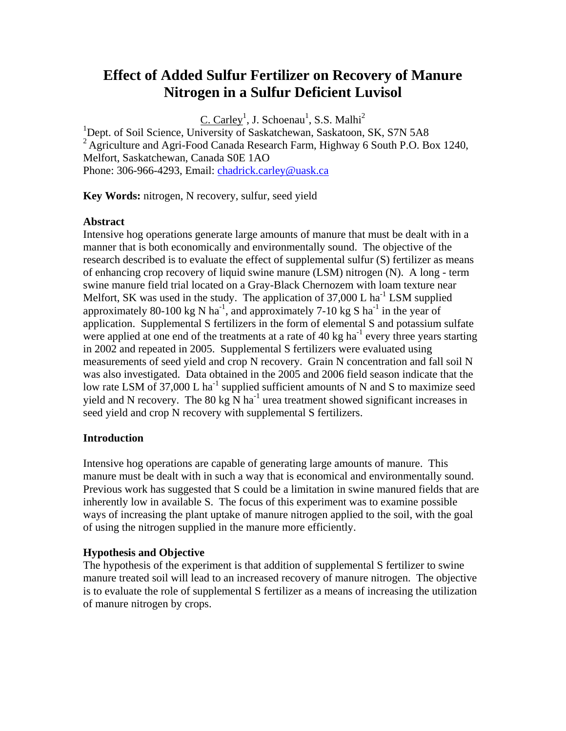# **Effect of Added Sulfur Fertilizer on Recovery of Manure Nitrogen in a Sulfur Deficient Luvisol**

 $C.$  Carley<sup>1</sup>, J. Schoenau<sup>1</sup>, S.S. Malhi<sup>2</sup>

<sup>1</sup>Dept. of Soil Science, University of Saskatchewan, Saskatoon, SK, S7N 5A8 <sup>2</sup> Agriculture and Agri-Food Canada Research Farm, Highway 6 South P.O. Box 1240, Melfort, Saskatchewan, Canada S0E 1AO Phone: 306-966-4293, Email: [chadrick.carley@uask.ca](mailto:chadrick.carley@uask.ca)

**Key Words:** nitrogen, N recovery, sulfur, seed yield

## **Abstract**

Intensive hog operations generate large amounts of manure that must be dealt with in a manner that is both economically and environmentally sound. The objective of the research described is to evaluate the effect of supplemental sulfur (S) fertilizer as means of enhancing crop recovery of liquid swine manure (LSM) nitrogen (N). A long - term swine manure field trial located on a Gray-Black Chernozem with loam texture near Melfort, SK was used in the study. The application of  $37,000$  L ha<sup>-1</sup> LSM supplied approximately 80-100 kg N ha<sup>-1</sup>, and approximately 7-10 kg S ha<sup>-1</sup> in the year of application. Supplemental S fertilizers in the form of elemental S and potassium sulfate were applied at one end of the treatments at a rate of 40 kg ha<sup>-1</sup> every three years starting in 2002 and repeated in 2005. Supplemental S fertilizers were evaluated using measurements of seed yield and crop N recovery. Grain N concentration and fall soil N was also investigated. Data obtained in the 2005 and 2006 field season indicate that the low rate LSM of 37,000 L ha<sup>-1</sup> supplied sufficient amounts of N and S to maximize seed yield and N recovery. The 80 kg  $\overrightarrow{N}$  ha<sup>-1</sup> urea treatment showed significant increases in seed yield and crop N recovery with supplemental S fertilizers.

## **Introduction**

Intensive hog operations are capable of generating large amounts of manure. This manure must be dealt with in such a way that is economical and environmentally sound. Previous work has suggested that S could be a limitation in swine manured fields that are inherently low in available S. The focus of this experiment was to examine possible ways of increasing the plant uptake of manure nitrogen applied to the soil, with the goal of using the nitrogen supplied in the manure more efficiently.

## **Hypothesis and Objective**

The hypothesis of the experiment is that addition of supplemental S fertilizer to swine manure treated soil will lead to an increased recovery of manure nitrogen. The objective is to evaluate the role of supplemental S fertilizer as a means of increasing the utilization of manure nitrogen by crops.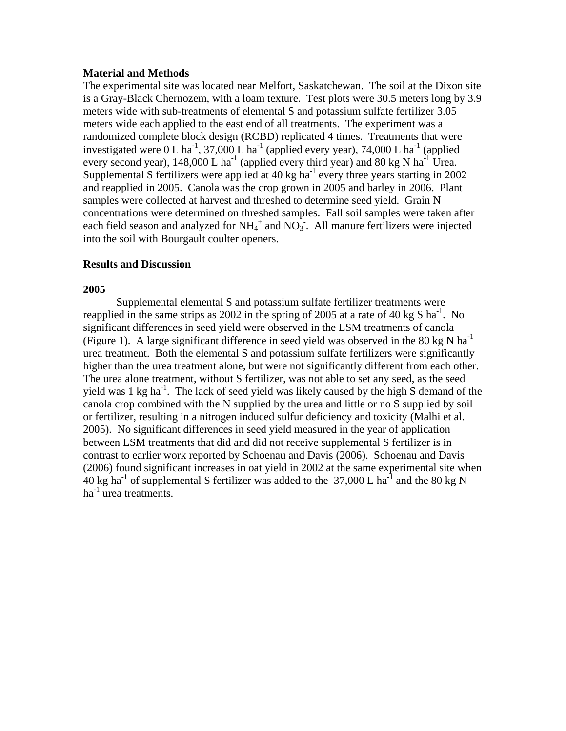#### **Material and Methods**

The experimental site was located near Melfort, Saskatchewan. The soil at the Dixon site is a Gray-Black Chernozem, with a loam texture. Test plots were 30.5 meters long by 3.9 meters wide with sub-treatments of elemental S and potassium sulfate fertilizer 3.05 meters wide each applied to the east end of all treatments. The experiment was a randomized complete block design (RCBD) replicated 4 times. Treatments that were investigated were  $0 L$  ha<sup>-1</sup>, 37,000 L ha<sup>-1</sup> (applied every year), 74,000 L ha<sup>-1</sup> (applied every second year), 148,000 L ha<sup>-1</sup> (applied every third year) and 80 kg N ha<sup>-1</sup> Urea. Supplemental S fertilizers were applied at  $40 \text{ kg}$  ha<sup>-1</sup> every three years starting in 2002 and reapplied in 2005. Canola was the crop grown in 2005 and barley in 2006. Plant samples were collected at harvest and threshed to determine seed yield. Grain N concentrations were determined on threshed samples. Fall soil samples were taken after each field season and analyzed for  $NH_4^+$  and  $NO_3^-$ . All manure fertilizers were injected into the soil with Bourgault coulter openers.

#### **Results and Discussion**

#### **2005**

 Supplemental elemental S and potassium sulfate fertilizer treatments were reapplied in the same strips as 2002 in the spring of 2005 at a rate of 40 kg S ha<sup>-1</sup>. No significant differences in seed yield were observed in the LSM treatments of canola (Figure 1). A large significant difference in seed yield was observed in the 80 kg N ha<sup>-1</sup> urea treatment. Both the elemental S and potassium sulfate fertilizers were significantly higher than the urea treatment alone, but were not significantly different from each other. The urea alone treatment, without S fertilizer, was not able to set any seed, as the seed yield was 1 kg ha<sup>-1</sup>. The lack of seed yield was likely caused by the high S demand of the canola crop combined with the N supplied by the urea and little or no S supplied by soil or fertilizer, resulting in a nitrogen induced sulfur deficiency and toxicity (Malhi et al. 2005). No significant differences in seed yield measured in the year of application between LSM treatments that did and did not receive supplemental S fertilizer is in contrast to earlier work reported by Schoenau and Davis (2006). Schoenau and Davis (2006) found significant increases in oat yield in 2002 at the same experimental site when 40 kg ha<sup>-1</sup> of supplemental S fertilizer was added to the 37,000 L ha<sup>-1</sup> and the 80 kg N  $ha^{-1}$  urea treatments.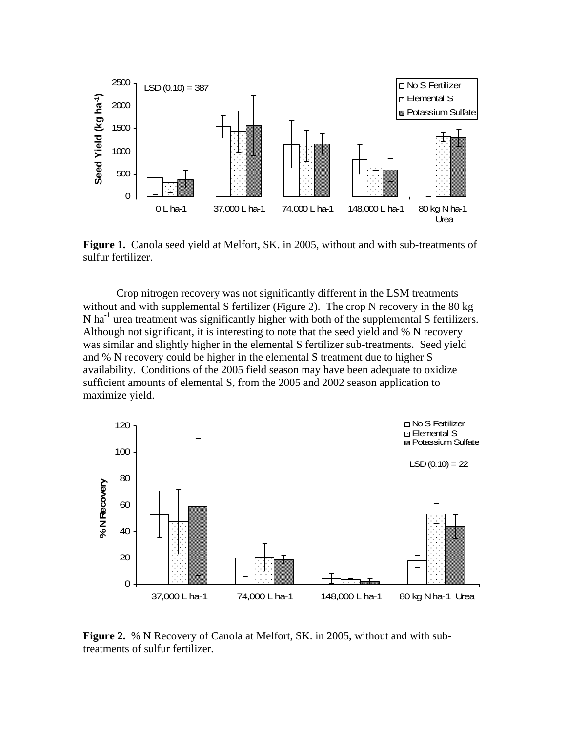

**Figure 1.** Canola seed yield at Melfort, SK. in 2005, without and with sub-treatments of sulfur fertilizer.

Crop nitrogen recovery was not significantly different in the LSM treatments without and with supplemental S fertilizer (Figure 2). The crop N recovery in the 80 kg N ha<sup>-1</sup> urea treatment was significantly higher with both of the supplemental S fertilizers. Although not significant, it is interesting to note that the seed yield and % N recovery was similar and slightly higher in the elemental S fertilizer sub-treatments. Seed yield and % N recovery could be higher in the elemental S treatment due to higher S availability. Conditions of the 2005 field season may have been adequate to oxidize sufficient amounts of elemental S, from the 2005 and 2002 season application to maximize yield.



**Figure 2.** % N Recovery of Canola at Melfort, SK. in 2005, without and with subtreatments of sulfur fertilizer.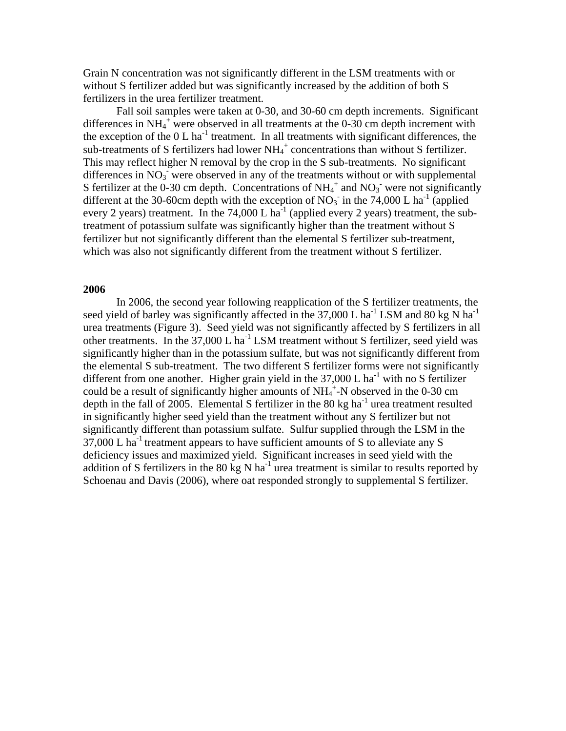Grain N concentration was not significantly different in the LSM treatments with or without S fertilizer added but was significantly increased by the addition of both S fertilizers in the urea fertilizer treatment.

 Fall soil samples were taken at 0-30, and 30-60 cm depth increments. Significant differences in  $NH_4^+$  were observed in all treatments at the 0-30 cm depth increment with the exception of the  $0 L ha^{-1}$  treatment. In all treatments with significant differences, the sub-treatments of S fertilizers had lower  $NH_4^+$  concentrations than without S fertilizer. This may reflect higher N removal by the crop in the S sub-treatments. No significant differences in NO<sub>3</sub> were observed in any of the treatments without or with supplemental S fertilizer at the 0-30 cm depth. Concentrations of  $NH_4^+$  and  $NO_3^-$  were not significantly different at the 30-60cm depth with the exception of  $NO<sub>3</sub>$  in the 74,000 L ha<sup>-1</sup> (applied every 2 years) treatment. In the 74,000 L ha<sup>-1</sup> (applied every 2 years) treatment, the subtreatment of potassium sulfate was significantly higher than the treatment without S fertilizer but not significantly different than the elemental S fertilizer sub-treatment, which was also not significantly different from the treatment without S fertilizer.

### **2006**

 In 2006, the second year following reapplication of the S fertilizer treatments, the seed yield of barley was significantly affected in the 37,000 L ha<sup>-1</sup> LSM and 80 kg N ha<sup>-1</sup> urea treatments (Figure 3). Seed yield was not significantly affected by S fertilizers in all other treatments. In the  $37,000$  L ha<sup>-1</sup> LSM treatment without S fertilizer, seed yield was significantly higher than in the potassium sulfate, but was not significantly different from the elemental S sub-treatment. The two different S fertilizer forms were not significantly different from one another. Higher grain yield in the  $37,000$  L ha<sup>-1</sup> with no S fertilizer could be a result of significantly higher amounts of  $NH_4^+$ -N observed in the 0-30 cm depth in the fall of 2005. Elemental S fertilizer in the 80 kg ha<sup>-1</sup> urea treatment resulted in significantly higher seed yield than the treatment without any S fertilizer but not significantly different than potassium sulfate. Sulfur supplied through the LSM in the 37,000 L ha<sup>-1</sup> treatment appears to have sufficient amounts of S to alleviate any S deficiency issues and maximized yield. Significant increases in seed yield with the addition of S fertilizers in the 80 kg N ha<sup>-1</sup> urea treatment is similar to results reported by Schoenau and Davis (2006), where oat responded strongly to supplemental S fertilizer.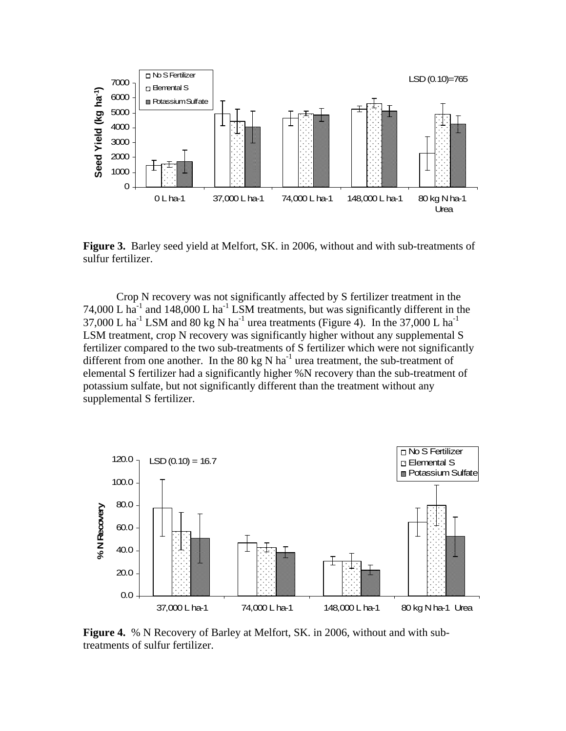

**Figure 3.** Barley seed yield at Melfort, SK. in 2006, without and with sub-treatments of sulfur fertilizer.

Crop N recovery was not significantly affected by S fertilizer treatment in the 74,000 L ha<sup>-1</sup> and 148,000 L ha<sup>-1</sup> LSM treatments, but was significantly different in the 37,000 L ha<sup>-1</sup> LSM and 80 kg N ha<sup>-1</sup> urea treatments (Figure 4). In the 37,000 L ha<sup>-1</sup> LSM treatment, crop N recovery was significantly higher without any supplemental S fertilizer compared to the two sub-treatments of S fertilizer which were not significantly different from one another. In the 80 kg N ha<sup>-1</sup> urea treatment, the sub-treatment of elemental S fertilizer had a significantly higher %N recovery than the sub-treatment of potassium sulfate, but not significantly different than the treatment without any supplemental S fertilizer.



**Figure 4.** % N Recovery of Barley at Melfort, SK. in 2006, without and with subtreatments of sulfur fertilizer.